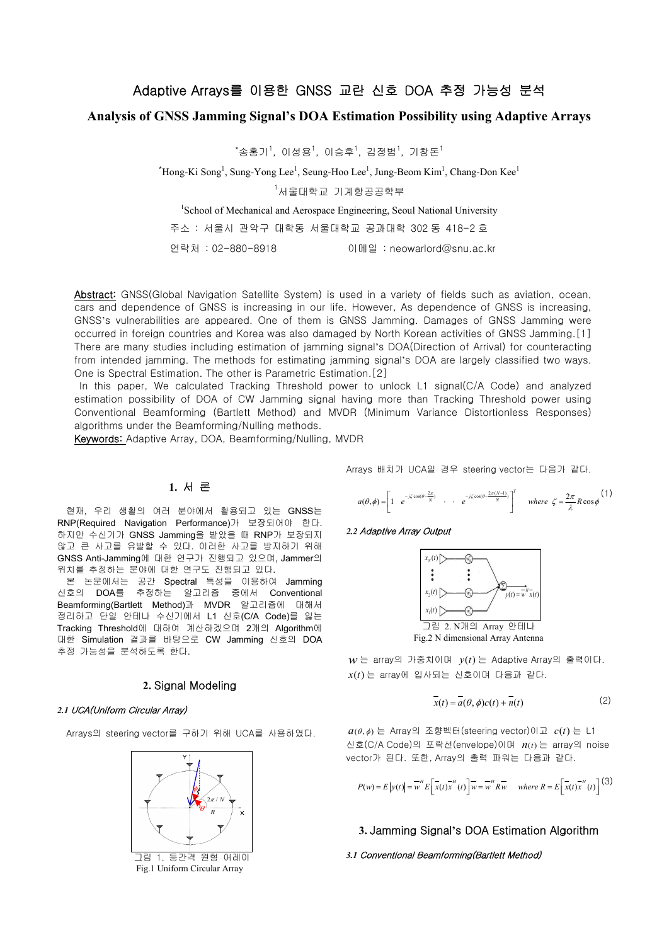# Adaptive Arrays를 이용한 GNSS 교란 신호 DOA 추정 가능성 분석

## **Analysis of GNSS Jamming Signal's DOA Estimation Possibility using Adaptive Arrays**

 $^*$ 송홍기 $^{\dagger}$ , 이성용 $^{\dagger}$ , 이승후 $^{\dagger}$ , 김정범 $^{\dagger}$ , 기창돈 $^{\dagger}$ 

 $*$ Hong-Ki Song<sup>1</sup>, Sung-Yong Lee<sup>1</sup>, Seung-Hoo Lee<sup>1</sup>, Jung-Beom Kim<sup>1</sup>, Chang-Don Kee<sup>1</sup>

 $1$ 서울대학교 기계항공공학부

<sup>1</sup>School of Mechanical and Aerospace Engineering, Seoul National University

주소 : 서울시 관악구 대학동 서울대학교 공과대학 302 동 418-2 호

연락처 : 02-880-8918 이메일 : neowarlord@snu.ac.kr

However, As dependence of GNSS is increasing,<br>
NSS Jamming. Damages of GNSS Jamming were<br>
else by North Korean activities of GNSS Jamming. [1]<br>
signal's DOA(Direction of Arrival) for counteracting<br>
ming signal's DOA are l **Example 2018**<br>
The system interview of the system of the system of the system of the system of the system of the system of the system of the system of the system of the system of the system of the system of the system of *j*  $\lim_{x \to 0}$   $\lim_{x \to 0}$   $\lim_{x \to 0}$   $\lim_{x \to 0}$   $\lim_{x \to 0}$   $\lim_{x \to 0}$   $\lim_{x \to 0}$   $\lim_{x \to 0}$  *j*  $\lim_{x \to 0}$   $\lim_{x \to 0}$   $\lim_{x \to 0}$  *j*  $\lim_{x \to 0}$  *j*  $\lim_{x \to 0}$  *j*  $\lim_{x \to 0}$  *j*  $\lim_{x \to 0}$  *<i>kont* s dependence of GNSS is increasing,<br>g. Damages of GNSS Jamming were<br>orean activities of GNSS Jamming [1]<br>(Direction of Arrival) for counteracting<br>DOA are largely classified two ways.<br>i. L1 signal(C/A Code) and analyzed<br>th Frame Decision and University<br>  $\exists \exists s \in \mathbb{R}$ <br>  $\exists s \in \mathbb{R}^n$  and National University<br>  $\exists \exists s \in \mathbb{R}^n$  and  $\exists s \in \mathbb{R}^n$  and  $\exists s \in \mathbb{R}^n$ <br>  $\exists s \in \mathbb{R}^n$  are a straight and  $\exists s \in \mathbb{R}^n$  and  $\exists s \in \mathbb{R}^n$  an Ing-Beom Kim', Chang-Don Kee'<br>
i st =<br>
g, Scoul National University<br>
f  $\mathbb{H}$  as 202  $\leq 418-2 \leq$ <br>  $\therefore$  reowardord@snu.ac.kr<br>
a variety of fields such as aviation, ocean,<br>
a variety of fields such as aviation, ocean, of fields such as aviation, ocean,<br>ppendence of GNSS is increasing,<br>Damages of GNSS Jamming were<br>exclutines of GNSS Jamming.[1]<br>ection of Arrival) for counteracting<br>DA are largely classified two ways.<br>signal(C/A Code) and of fields such as aviation, ocean,<br>ppendence of GNSS is increasing,<br>Damages of GNSS Jamming were<br>exercise of GNSS Jamming.[1]<br>ection of Arrival) for counteracting<br>DA are largely classified two ways.<br>I signal(C/A Code) an Iord@snu.ac.kr<br>
ord@snu.ac.kr<br>
opendence of GNSS is increasing,<br>
aparages of GNSS Jamming were<br>
an activities of GNSS Jamming (11<br>
rection of Arrival) for counteracting<br>
DA are largely classified two ways.<br>
1 signal(C/A Abstract: GNSS(Global Navigation Satellite System) is used in a variety of fields such as aviation, ocean, cars and dependence of GNSS is increasing in our life. However, As dependence of GNSS is increasing, GNSS's vulnerabilities are appeared. One of them is GNSS Jamming. Damages of GNSS Jamming were occurred in foreign countries and Korea was also damaged by North Korean activities of GNSS Jamming.[1] There are many studies including estimation of jamming signal's DOA(Direction of Arrival) for counteracting from intended jamming. The methods for estimating jamming signal's DOA are largely classified two ways. One is Spectral Estimation. The other is Parametric Estimation.[2]

In this paper, We calculated Tracking Threshold power to unlock L1 signal(C/A Code) and analyzed estimation possibility of DOA of CW Jamming signal having more than Tracking Threshold power using Conventional Beamforming (Bartlett Method) and MVDR (Minimum Variance Distortionless Responses) algorithms under the Beamforming/Nulling methods.

Keywords: Adaptive Array, DOA, Beamforming/Nulling, MVDR

## **1.** 서 론

현재, 우리 생활의 여러 분야에서 활용되고 있는 GNSS는 RNP(Required Navigation Performance)가 보장되어야 한다. 하지만 수신기가 GNSS Jamming을 받았을 때 RNP가 보장되지 않고 큰 사고를 유발할 수 있다. 이러한 사고를 방지하기 위해 GNSS Anti-Jamming에 대한 연구가 진행되고 있으며, Jammer의 위치를 추정하는 분야에 대한 연구도 진행되고 있다.

본 논문에서는 공간 Spectral 특성을 이용하여 Jamming 신호의 DOA를 추정하는 알고리즘 중에서 Conventional Beamforming(Bartlett Method)과 MVDR 알고리즘에 대해서 정리하고 단일 안테나 수신기에서 L1 신호(C/A Code)를 잃는 Tracking Threshold에 대하여 계산하겠으며 2개의 Algorithm에 대한 Simulation 결과를 바탕으로 CW Jamming 신호의 DOA 추정 가능성을 분석하도록 한다.

## **2.** Signal Modeling

#### *2.1* UCA(Uniform Circular Array)

Arrays의 steering vector를 구하기 위해 UCA를 사용하였다.



Fig.1 Uniform Circular Array

$$
a(\theta,\phi) = \begin{bmatrix} 1 & e^{-j\zeta\cos(\theta-\frac{2\pi}{N})} & \cdots & e^{-j\zeta\cos(\theta-\frac{2\pi(N-1)}{N})} \end{bmatrix}^T \quad \text{where } \zeta = \frac{2\pi}{\lambda}R\cos\phi \tag{1}
$$

#### *2.2* Adaptive Array Output



$$
\overline{x}(t) = \overline{a}(\theta, \phi)c(t) + \overline{n}(t)
$$
 (2)

$$
P(w) = E|y(t)| = \overline{w}^H E\left[\overline{x}(t)\overline{x}^H(t)\right] \overline{w} = \overline{w}^H R \overline{w} \quad \text{where } R = E\left[\overline{x}(t)\overline{x}^H(t)\right]^{(3)}
$$

## **3.** Jamming Signal**'**s DOA Estimation Algorithm

#### *3.1* Conventional Beamforming(Bartlett Method)